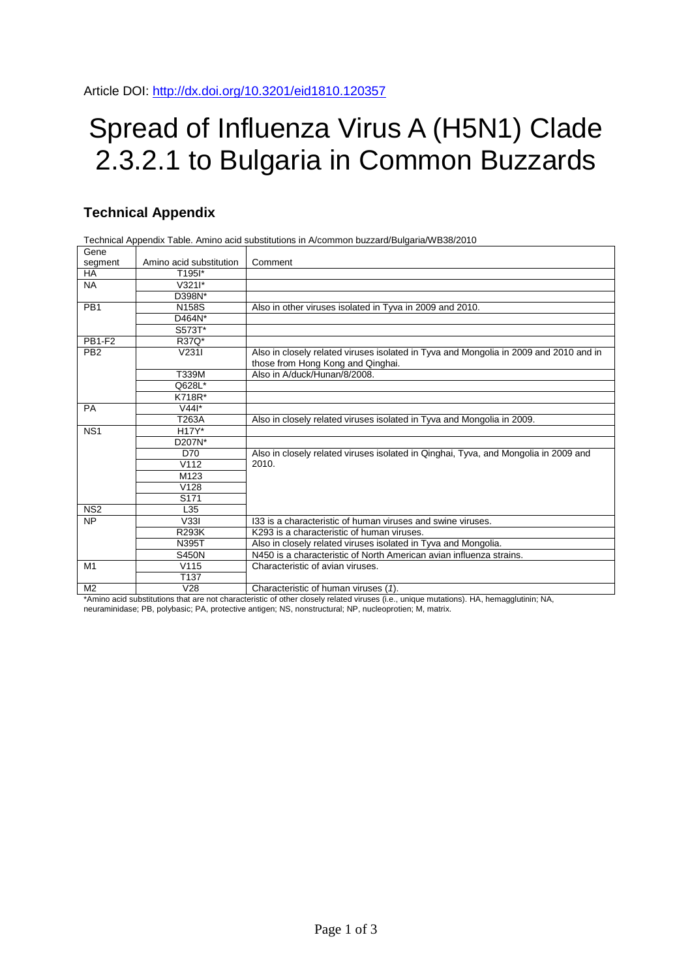## Spread of Influenza Virus A (H5N1) Clade 2.3.2.1 to Bulgaria in Common Buzzards

## **Technical Appendix**

Technical Appendix Table. Amino acid substitutions in A/common buzzard/Bulgaria/WB38/2010

| Gene            |                               |                                                                                                                            |  |  |  |  |
|-----------------|-------------------------------|----------------------------------------------------------------------------------------------------------------------------|--|--|--|--|
| segment         | Amino acid substitution       | Comment                                                                                                                    |  |  |  |  |
| HA.             | T <sub>195</sub> <sup>*</sup> |                                                                                                                            |  |  |  |  |
| <b>NA</b>       | $V3211*$                      |                                                                                                                            |  |  |  |  |
|                 | D398N*                        |                                                                                                                            |  |  |  |  |
| PB <sub>1</sub> | <b>N158S</b>                  | Also in other viruses isolated in Tyva in 2009 and 2010.                                                                   |  |  |  |  |
|                 | D464N*                        |                                                                                                                            |  |  |  |  |
|                 | S573T*                        |                                                                                                                            |  |  |  |  |
| <b>PB1-F2</b>   | R37Q*                         |                                                                                                                            |  |  |  |  |
| PB <sub>2</sub> | V2311                         | Also in closely related viruses isolated in Tyva and Mongolia in 2009 and 2010 and in<br>those from Hong Kong and Qinghai. |  |  |  |  |
|                 | T339M                         | Also in A/duck/Hunan/8/2008.                                                                                               |  |  |  |  |
|                 | Q628L*                        |                                                                                                                            |  |  |  |  |
|                 | K718R*                        |                                                                                                                            |  |  |  |  |
| <b>PA</b>       | $V44$ <sup>*</sup>            |                                                                                                                            |  |  |  |  |
|                 | T263A                         | Also in closely related viruses isolated in Tyva and Mongolia in 2009.                                                     |  |  |  |  |
| NS <sub>1</sub> | H17Y*                         |                                                                                                                            |  |  |  |  |
|                 | D207N*                        |                                                                                                                            |  |  |  |  |
|                 | D70                           | Also in closely related viruses isolated in Qinghai, Tyva, and Mongolia in 2009 and                                        |  |  |  |  |
|                 | V112                          | 2010.                                                                                                                      |  |  |  |  |
|                 | M <sub>123</sub>              |                                                                                                                            |  |  |  |  |
|                 | V <sub>128</sub>              |                                                                                                                            |  |  |  |  |
|                 | S <sub>171</sub>              |                                                                                                                            |  |  |  |  |
| NS <sub>2</sub> | L35                           |                                                                                                                            |  |  |  |  |
| <b>NP</b>       | V33I                          | 133 is a characteristic of human viruses and swine viruses.                                                                |  |  |  |  |
|                 | <b>R293K</b>                  | K293 is a characteristic of human viruses.                                                                                 |  |  |  |  |
|                 | N395T                         | Also in closely related viruses isolated in Tyva and Mongolia.                                                             |  |  |  |  |
|                 | <b>S450N</b>                  | N450 is a characteristic of North American avian influenza strains.                                                        |  |  |  |  |
| M1              | V <sub>15</sub>               | Characteristic of avian viruses.                                                                                           |  |  |  |  |
|                 | T <sub>137</sub>              |                                                                                                                            |  |  |  |  |
| M <sub>2</sub>  | V28                           | Characteristic of human viruses (1).                                                                                       |  |  |  |  |

\*Amino acid substitutions that are not characteristic of other closely related viruses (i.e., unique mutations). HA, hemagglutinin; NA,

neuraminidase; PB, polybasic; PA, protective antigen; NS, nonstructural; NP, nucleoprotien; M, matrix.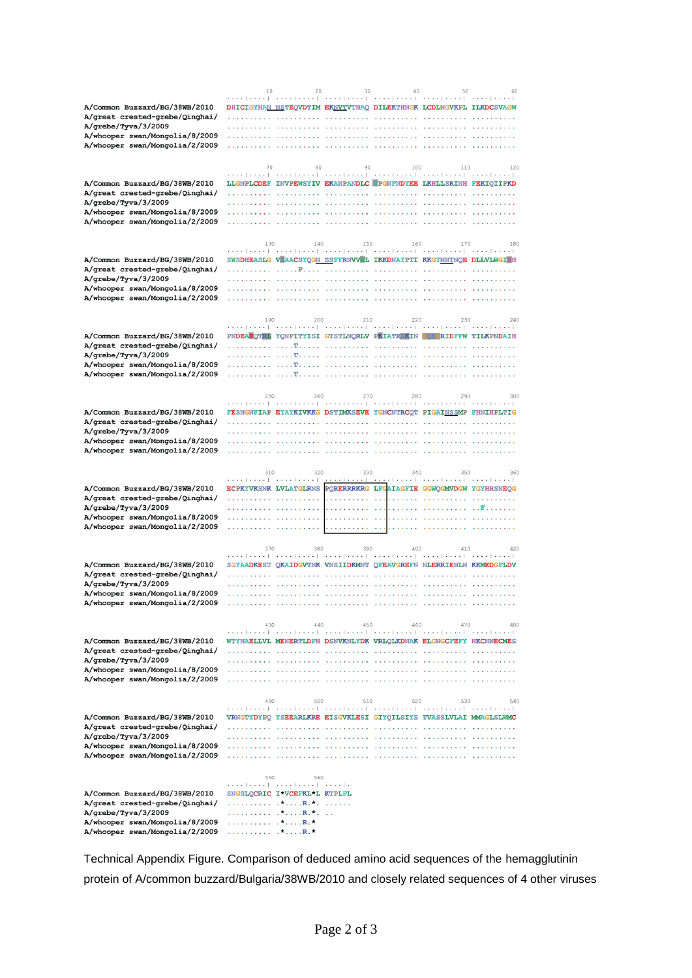|                                                                  | 10       | 20                           |            | 30<br>40                                                                                      |     | 60  |
|------------------------------------------------------------------|----------|------------------------------|------------|-----------------------------------------------------------------------------------------------|-----|-----|
|                                                                  |          |                              |            | المتعبدا بتبت التبيتا بتبت التبيتا ببتت التبيتا ببتت التبيتا ببتت التبيتا بتبت                |     |     |
| A/Common Buzzard/BG/38WB/2010                                    |          |                              |            | DHICIGYHAN NSTEQVDTIM EKNVTVTHAQ DILEKTHNGK LCDLNGVKPL ILKDCSVAGW                             |     |     |
| A/great crested-grebe/Qinghai/                                   |          |                              |            |                                                                                               |     |     |
| A/grebe/Tyva/3/2009                                              |          |                              |            |                                                                                               |     |     |
| A/whooper swan/Mongolia/8/2009                                   |          |                              |            |                                                                                               |     |     |
| A/whooper swan/Mongolia/2/2009                                   |          |                              |            |                                                                                               |     |     |
|                                                                  |          |                              |            |                                                                                               |     |     |
|                                                                  | 70       | 80                           | 90         | 100<br>المتعبط بتبت التبيتا بتبتا التبتيا بتبت التبيتا بتبت التبيتا بتبت التبيتا بتبت         | 110 | 120 |
| A/Common Buzzard/BG/38WB/2010                                    |          |                              |            | LLGNPLCDEF INVPEWSYIV EKANPANDLC PGNFNDYEE LKHLLSRINH FEKIQIIPKD                              |     |     |
| A/great crested-grebe/Qinghai/                                   |          |                              |            |                                                                                               |     |     |
| A/grebe/Tyva/3/2009                                              |          |                              |            |                                                                                               |     |     |
| A/whooper swan/Mongolia/8/2009                                   |          |                              |            |                                                                                               |     |     |
| A/whooper swan/Mongolia/2/2009                                   |          |                              |            |                                                                                               |     |     |
|                                                                  |          |                              |            |                                                                                               |     |     |
|                                                                  | 130      | 140                          | 150        | 160                                                                                           | 170 | 180 |
|                                                                  |          |                              |            | المتعتد المتعتد المتعتدا المتعتم المتعمل فعيدا المتعمر المتعمر المتعمرا وحبرة                 |     |     |
| A/Common Buzzard/BG/38WB/2010                                    |          |                              |            | SWSDHEASLG V <mark>EAACSYQGN SSFFRNVVW</mark> L IKKDNAYPTI KKGY <u>NNT</u> NQE DLLVLWGIHH     |     |     |
| A/great crested-grebe/Qinghai/<br>A/grebe/Tyva/3/2009            |          |                              |            |                                                                                               |     |     |
| A/whooper swan/Mongolia/8/2009                                   |          |                              |            |                                                                                               |     |     |
| A/whooper swan/Mongolia/2/2009                                   |          |                              | .          |                                                                                               |     |     |
|                                                                  |          |                              |            |                                                                                               |     |     |
|                                                                  | 190      | 200                          | 210        | 220                                                                                           | 230 | 240 |
|                                                                  |          |                              |            | المتعتدا وبعيد المتعبدا وبداء والمتعبد المتحور والمتعبر والمنتعم والمتحول وبروا               |     |     |
| A/Common Buzzard/BG/38WB/2010                                    |          |                              |            | PNDEAEQTRL YQNPITYISI GTSTLNQRLV PKIATREKIN GOSGRIDFFW TILKPNDAIH                             |     |     |
| A/great crested-grebe/Qinghai/                                   |          |                              |            |                                                                                               |     |     |
| A/grebe/Tyva/3/2009                                              |          |                              |            |                                                                                               |     |     |
| A/whooper swan/Mongolia/8/2009<br>A/whooper swan/Mongolia/2/2009 |          |                              |            |                                                                                               |     |     |
|                                                                  |          |                              |            |                                                                                               |     |     |
|                                                                  |          |                              |            |                                                                                               |     |     |
|                                                                  | 250      | 260                          | 270        | 280<br>المتعبد المتعبد المتعبد المتعبد المتعبر المتعبر المتعبرا متبد المتعبد المتعبر          | 290 | 300 |
| A/Common Buzzard/BG/38WB/2010                                    |          |                              |            | FESNGNFIAP EYAYKIVKKG DSTIMKSEVE YGNCNTRCQT PIGAINSSMP FHNIHPLTIG                             |     |     |
| A/great crested-grebe/Qinghai/                                   |          |                              |            |                                                                                               |     |     |
| A/grebe/Tyva/3/2009                                              |          |                              |            |                                                                                               |     |     |
| A/whooper swan/Mongolia/8/2009                                   |          |                              |            |                                                                                               |     |     |
| A/whooper swan/Mongolia/2/2009                                   |          |                              |            |                                                                                               |     |     |
|                                                                  |          |                              |            |                                                                                               |     |     |
|                                                                  |          |                              |            |                                                                                               |     |     |
|                                                                  |          | 320<br>310                   | 330        | 340                                                                                           | 350 | 360 |
|                                                                  |          |                              |            | التبيتا وببتا التبيتا وببتنا التبيتا و <u>ببتنا التبيتا وببت</u> ا التبيتا فيبتنا والمتباعثيث |     |     |
| A/Common Buzzard/BG/38WB/2010<br>A/great crested-grebe/Qinghai/  |          |                              |            | ECPKYVKSNK LVLATGLRNS PORERRRKRG LFGAIAGFIE GGWOGMVDGW YGYHHSNEOG                             |     |     |
| A/grebe/Tyva/3/2009                                              |          |                              |            |                                                                                               |     |     |
| A/whooper swan/Mongolia/8/2009                                   |          |                              |            |                                                                                               |     |     |
| A/whooper swan/Mongolia/2/2009                                   |          |                              |            |                                                                                               |     |     |
|                                                                  |          |                              |            |                                                                                               |     |     |
|                                                                  | 370      |                              | 390<br>380 | 400                                                                                           | 410 | 420 |
|                                                                  |          |                              |            | المتعبط ومعتب المتعبدا ومعتبر المتعبد والمتعبد المتعبدا ومتعبر المتعبدا ومتعبر                |     |     |
| A/Common Buzzard/BG/38WB/2010                                    |          |                              |            | SGYAADKEST QKAIDGVTNK VNSIIDKMNT QFEAVGREFN NLERRIENLN KKMEDGFLDV                             |     |     |
| A/great crested-grebe/Qinghai/<br>A/grebe/Tyva/3/2009            |          |                              |            |                                                                                               |     |     |
| A/whooper swan/Mongolia/8/2009                                   |          |                              |            |                                                                                               |     |     |
| A/whooper swan/Mongolia/2/2009                                   |          |                              |            |                                                                                               |     |     |
|                                                                  |          |                              |            |                                                                                               |     |     |
|                                                                  |          | 440                          | 450        | 460                                                                                           | 470 | 480 |
|                                                                  |          |                              |            | المتحد المتعدد المتعدد المتعدد المتحدد المتعدد المتحد المتحد المتحدد المتحد المتحد            |     |     |
| A/Common Buzzard/BG/38WB/2010                                    |          |                              |            | WTYNAELLVL MENERTLDFH DSNVKNLYDK VRLQLKDNAK ELGNGCFEFY HKCNNECMES                             |     |     |
| A/great crested-grebe/Qinghai/                                   |          |                              |            |                                                                                               |     |     |
| A/grebe/Tyva/3/2009<br>A/whooper swan/Mongolia/8/2009            |          |                              |            |                                                                                               |     |     |
| A/whooper swan/Mongolia/2/2009                                   |          |                              |            |                                                                                               |     |     |
|                                                                  |          |                              |            |                                                                                               |     |     |
|                                                                  | 490      | 500                          | 510        | 520                                                                                           | 530 | 540 |
|                                                                  |          |                              |            | المتعبرا بببت المتبتيا بببت التبيت التبيت المتبير التبيت التبيت التبيت التبيت                 |     |     |
| A/Common Buzzard/BG/38WB/2010                                    |          |                              |            | VRNGTYDYPQ YSEEARLKRE EISGVKLESI GIYQILSIYS TVASSLVLAI MMAGLSLWMC                             |     |     |
| A/great crested-grebe/Qinghai/                                   |          |                              |            |                                                                                               |     |     |
| A/grebe/Tyva/3/2009<br>A/whooper swan/Mongolia/8/2009            |          |                              |            |                                                                                               |     |     |
| A/whooper swan/Mongolia/2/2009                                   |          |                              |            |                                                                                               |     |     |
|                                                                  |          |                              |            |                                                                                               |     |     |
|                                                                  | 550      | 560                          |            |                                                                                               |     |     |
|                                                                  |          |                              |            |                                                                                               |     |     |
| A/Common Buzzard/BG/38WB/2010                                    |          | SNGSLQCRIC I*VCEFKL*L KTPLFL |            |                                                                                               |     |     |
| A/great crested-grebe/Qinghai/                                   |          | . R.                         |            |                                                                                               |     |     |
| A/grebe/Tyva/3/2009                                              |          |                              |            |                                                                                               |     |     |
| A/whooper swan/Mongolia/8/2009<br>A/whooper swan/Mongolia/2/2009 | . * R. * |                              |            |                                                                                               |     |     |

Technical Appendix Figure. Comparison of deduced amino acid sequences of the hemagglutinin protein of A/common buzzard/Bulgaria/38WB/2010 and closely related sequences of 4 other viruses